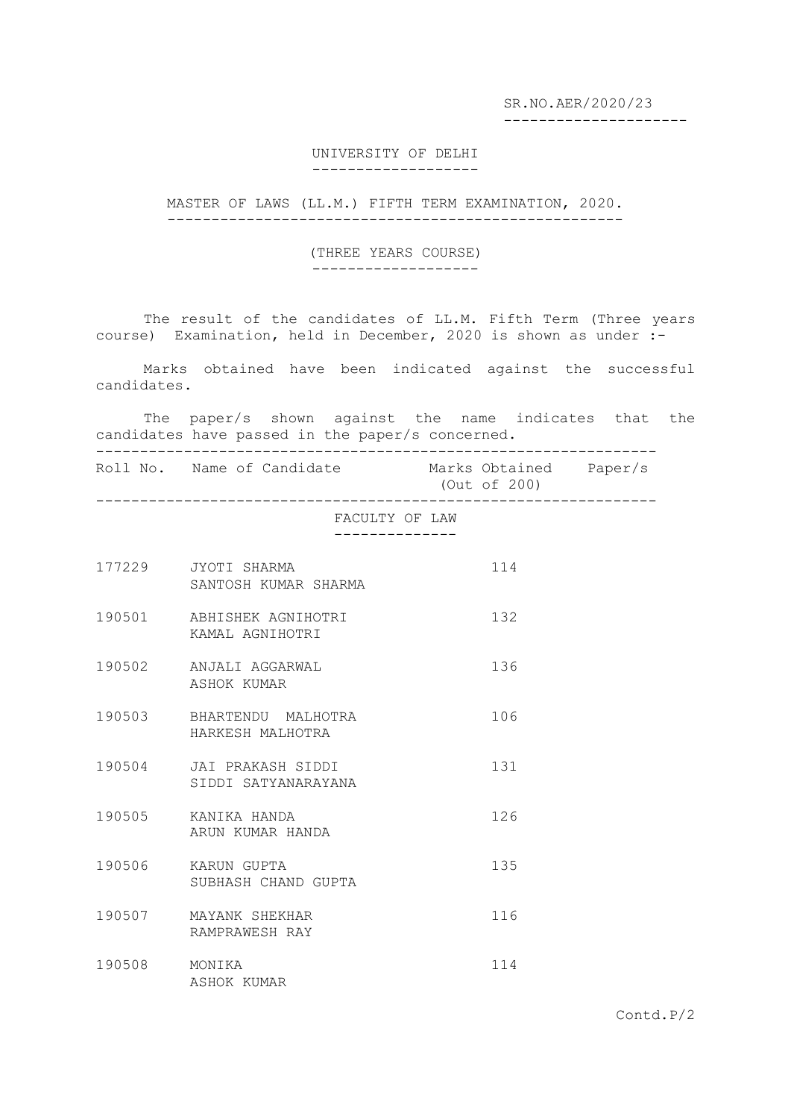SR.NO.AER/2020/23

---------------------

## UNIVERSITY OF DELHI -------------------

MASTER OF LAWS (LL.M.) FIFTH TERM EXAMINATION, 2020. ----------------------------------------------------

## (THREE YEARS COURSE)

-------------------

The result of the candidates of LL.M. Fifth Term (Three years course) Examination, held in December, 2020 is shown as under :-

Marks obtained have been indicated against the successful candidates.

The paper/s shown against the name indicates that the candidates have passed in the paper/s concerned. ----------------------------------------------------------------

Roll No. Name of Candidate Marks Obtained Paper/s (Out of 200)

----------------------------------------------------------------

FACULTY OF LAW --------------

|               | 177229 JYOTI SHARMA<br>SANTOSH KUMAR SHARMA     | 114 |
|---------------|-------------------------------------------------|-----|
|               | 190501 ABHISHEK AGNIHOTRI<br>KAMAL AGNIHOTRI    | 132 |
|               | 190502 ANJALI AGGARWAL<br>ASHOK KUMAR           | 136 |
|               | 190503 BHARTENDU MALHOTRA<br>HARKESH MALHOTRA   | 106 |
|               | 190504 JAI PRAKASH SIDDI<br>SIDDI SATYANARAYANA | 131 |
|               | 190505     KANIKA HANDA<br>ARUN KUMAR HANDA     | 126 |
|               | 190506 KARUN GUPTA<br>SUBHASH CHAND GUPTA       | 135 |
|               | 190507 MAYANK SHEKHAR<br>RAMPRAWESH RAY         | 116 |
| 190508 MONIKA | ASHOK KUMAR                                     | 114 |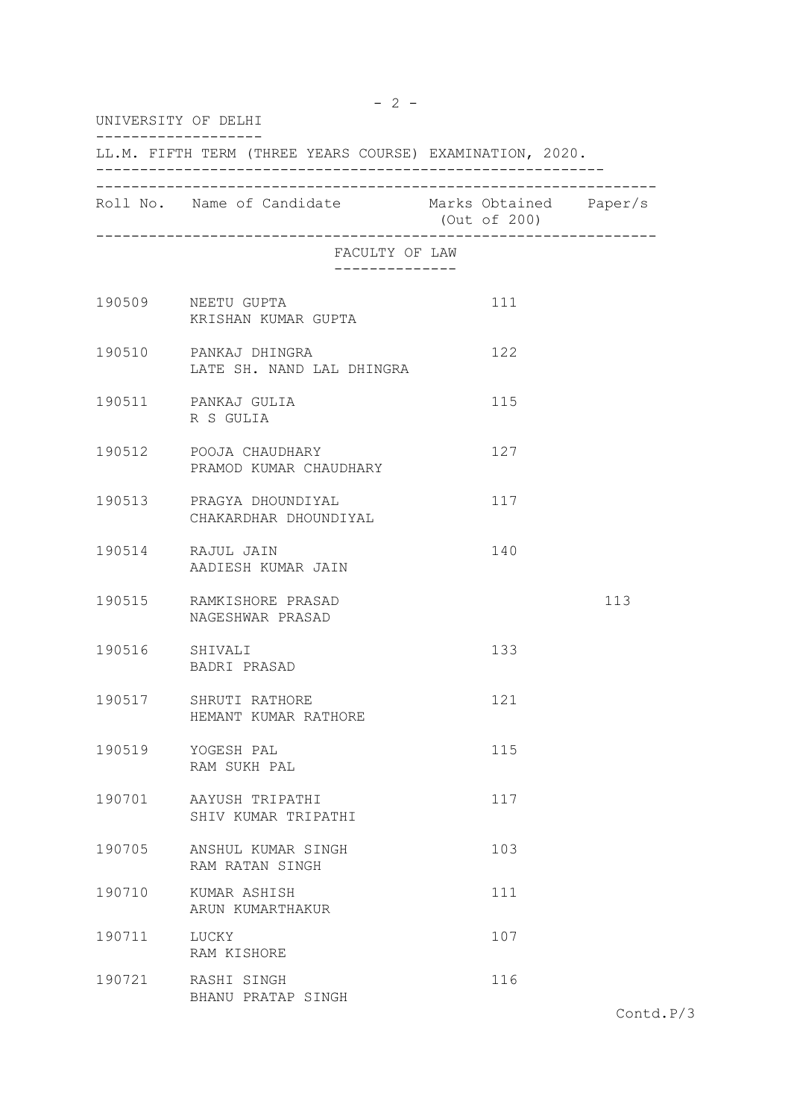| UNIVERSITY OF DELHI<br>LL.M. FIFTH TERM (THREE YEARS COURSE) EXAMINATION, 2020. |                                                    |                                  |     |  |
|---------------------------------------------------------------------------------|----------------------------------------------------|----------------------------------|-----|--|
|                                                                                 |                                                    |                                  |     |  |
|                                                                                 | FACULTY OF LAW<br>--------------                   | . ______________________________ |     |  |
|                                                                                 | 190509 NEETU GUPTA<br>KRISHAN KUMAR GUPTA          | 111                              |     |  |
|                                                                                 | 190510 PANKAJ DHINGRA<br>LATE SH. NAND LAL DHINGRA | 122                              |     |  |
|                                                                                 | 190511 PANKAJ GULIA<br>R S GULIA                   | 115                              |     |  |
|                                                                                 | 190512 POOJA CHAUDHARY<br>PRAMOD KUMAR CHAUDHARY   | 127                              |     |  |
|                                                                                 | 190513 PRAGYA DHOUNDIYAL<br>CHAKARDHAR DHOUNDIYAL  | 117                              |     |  |
|                                                                                 | 190514 RAJUL JAIN<br>AADIESH KUMAR JAIN            | 140                              |     |  |
|                                                                                 | 190515 RAMKISHORE PRASAD<br>NAGESHWAR PRASAD       |                                  | 113 |  |
| 190516 SHIVALI                                                                  | BADRI PRASAD                                       | 133                              |     |  |
|                                                                                 | 190517 SHRUTI RATHORE<br>HEMANT KUMAR RATHORE      | 121                              |     |  |
| 190519                                                                          | YOGESH PAL<br>RAM SUKH PAL                         | 115                              |     |  |
| 190701                                                                          | AAYUSH TRIPATHI<br>SHIV KUMAR TRIPATHI             | 117                              |     |  |
| 190705                                                                          | ANSHUL KUMAR SINGH<br>RAM RATAN SINGH              | 103                              |     |  |
| 190710                                                                          | KUMAR ASHISH<br>ARUN KUMARTHAKUR                   | 111                              |     |  |
| 190711 LUCKY                                                                    | RAM KISHORE                                        | 107                              |     |  |
| 190721                                                                          | RASHI SINGH<br>BHANU PRATAP SINGH                  | 116                              |     |  |